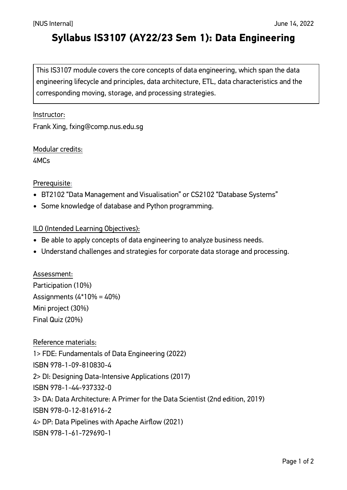# **Syllabus IS3107 (AY22/23 Sem 1): Data Engineering**

This IS3107 module covers the core concepts of data engineering, which span the data engineering lifecycle and principles, data architecture, ETL, data characteristics and the corresponding moving, storage, and processing strategies.

#### Instructor:

Frank Xing, fxing@comp.nus.edu.sg

Modular credits: 4MCs

#### Prerequisite:

- BT2102 "Data Management and Visualisation" or CS2102 "Database Systems"
- Some knowledge of database and Python programming.

### ILO (Intended Learning Objectives):

- Be able to apply concepts of data engineering to analyze business needs.
- Understand challenges and strategies for corporate data storage and processing.

Assessment: Participation (10%) Assignments  $(4*10\% = 40\%)$ Mini project (30%) Final Quiz (20%)

Reference materials:

1> FDE: Fundamentals of Data Engineering (2022)

ISBN 978-1-09-810830-4

2> DI: Designing Data-Intensive Applications (2017)

ISBN 978-1-44-937332-0

3> DA: Data Architecture: A Primer for the Data Scientist (2nd edition, 2019)

ISBN 978-0-12-816916-2

4> DP: Data Pipelines with Apache Airflow (2021)

ISBN 978-1-61-729690-1